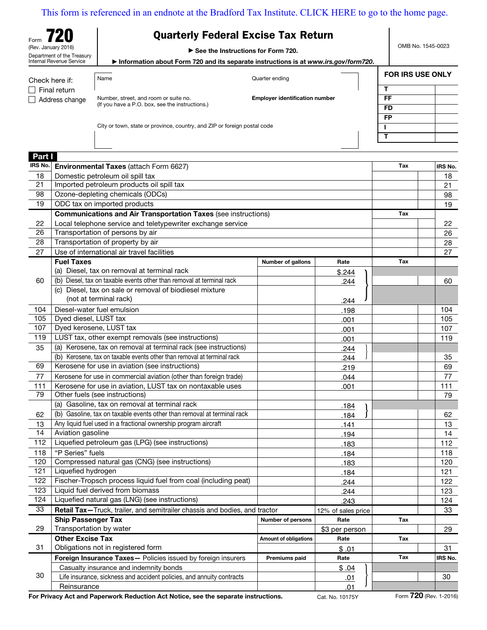|  | <b>Quarterly Federal Excise Tax Return</b> |
|--|--------------------------------------------|
|--|--------------------------------------------|

Form **720** (Rev. January 2016) Department of the Treasury Internal Revenue Service

Part I

OMB No. 1545-0023

 $\overline{\mathsf{r}}$ 

 $\blacktriangleright$  See the Instructions for Form 720.

a Information about Form 720 and its separate instructions is at *www.irs.gov/form720*.

| Check here if: | Name                                                                     | Quarter ending                        | <b>FOR IRS USE ONLY</b> |  |
|----------------|--------------------------------------------------------------------------|---------------------------------------|-------------------------|--|
| ヿ Final return |                                                                          |                                       |                         |  |
| Address change | Number, street, and room or suite no.                                    | <b>Employer identification number</b> | FF                      |  |
|                | (If you have a P.O. box, see the instructions.)                          |                                       | <b>FD</b>               |  |
|                |                                                                          |                                       | <b>FP</b>               |  |
|                | City or town, state or province, country, and ZIP or foreign postal code |                                       |                         |  |

| ы.<br>IRS No. | Environmental Taxes (attach Form 6627)                                     |                              |                    | Tax | IRS No. |
|---------------|----------------------------------------------------------------------------|------------------------------|--------------------|-----|---------|
| 18            | Domestic petroleum oil spill tax                                           |                              |                    |     | 18      |
| 21            | Imported petroleum products oil spill tax                                  |                              |                    |     | 21      |
| 98            | Ozone-depleting chemicals (ODCs)                                           |                              |                    |     | 98      |
| 19            | ODC tax on imported products                                               |                              |                    |     | 19      |
|               | <b>Communications and Air Transportation Taxes (see instructions)</b>      |                              |                    | Tax |         |
| 22            | Local telephone service and teletypewriter exchange service                |                              |                    |     | 22      |
| 26            | Transportation of persons by air                                           |                              |                    |     | 26      |
| 28            | Transportation of property by air                                          |                              |                    |     | 28      |
| 27            | Use of international air travel facilities                                 |                              |                    |     | 27      |
|               | <b>Fuel Taxes</b>                                                          | Number of gallons            | Rate               | Tax |         |
|               | (a) Diesel, tax on removal at terminal rack                                |                              | \$.244             |     |         |
| 60            | (b) Diesel, tax on taxable events other than removal at terminal rack      |                              | 244                |     | 60      |
|               | (c) Diesel, tax on sale or removal of biodiesel mixture                    |                              |                    |     |         |
|               | (not at terminal rack)                                                     |                              | 244                |     |         |
| 104           | Diesel-water fuel emulsion                                                 |                              | .198               |     | 104     |
| 105           | Dyed diesel, LUST tax                                                      |                              | .001               |     | 105     |
| 107           | Dyed kerosene, LUST tax                                                    |                              | .001               |     | 107     |
| 119           | LUST tax, other exempt removals (see instructions)                         |                              | .001               |     | 119     |
| 35            | (a) Kerosene, tax on removal at terminal rack (see instructions)           |                              | 244                |     |         |
|               | (b) Kerosene, tax on taxable events other than removal at terminal rack    |                              | 244                |     | 35      |
| 69            | Kerosene for use in aviation (see instructions)                            |                              | 219                |     | 69      |
| 77            | Kerosene for use in commercial aviation (other than foreign trade)         |                              | 044                |     | 77      |
| 111           | Kerosene for use in aviation, LUST tax on nontaxable uses                  |                              | .001               |     | 111     |
| 79            | Other fuels (see instructions)                                             |                              |                    |     | 79      |
|               | (a) Gasoline, tax on removal at terminal rack                              |                              | .184               |     |         |
| 62            | (b) Gasoline, tax on taxable events other than removal at terminal rack    |                              | 184                |     | 62      |
| 13            | Any liquid fuel used in a fractional ownership program aircraft            |                              | .141               |     | 13      |
| 14            | Aviation gasoline                                                          |                              | .194               |     | 14      |
| 112           | Liquefied petroleum gas (LPG) (see instructions)                           |                              | .183               |     | 112     |
| 118           | "P Series" fuels                                                           |                              | .184               |     | 118     |
| 120           | Compressed natural gas (CNG) (see instructions)                            |                              | .183               |     | 120     |
| 121           | Liquefied hydrogen                                                         |                              | .184               |     | 121     |
| 122           | Fischer-Tropsch process liquid fuel from coal (including peat)             |                              | 244                |     | 122     |
| 123           | Liquid fuel derived from biomass                                           |                              | 244                |     | 123     |
| 124           | Liquefied natural gas (LNG) (see instructions)                             |                              | 243                |     | 124     |
| 33            | Retail Tax-Truck, trailer, and semitrailer chassis and bodies, and tractor |                              | 12% of sales price |     | 33      |
|               | <b>Ship Passenger Tax</b>                                                  | <b>Number of persons</b>     | Rate               | Tax |         |
| 29            | Transportation by water                                                    |                              | \$3 per person     |     | 29      |
|               | <b>Other Excise Tax</b>                                                    | <b>Amount of obligations</b> | Rate               | Tax |         |
| 31            | Obligations not in registered form                                         |                              | \$.01              |     | 31      |
|               | Foreign Insurance Taxes- Policies issued by foreign insurers               | Premiums paid                | Rate               | Tax | IRS No. |
|               | Casualty insurance and indemnity bonds                                     |                              | \$.04              |     |         |
| 30            | Life insurance, sickness and accident policies, and annuity contracts      |                              | <u>.01</u>         |     | 30      |
|               | Reinsurance                                                                |                              | .01                |     |         |

For Privacy Act and Paperwork Reduction Act Notice, see the separate instructions. Cat. No. 10175Y Form 720 (Rev. 1-2016)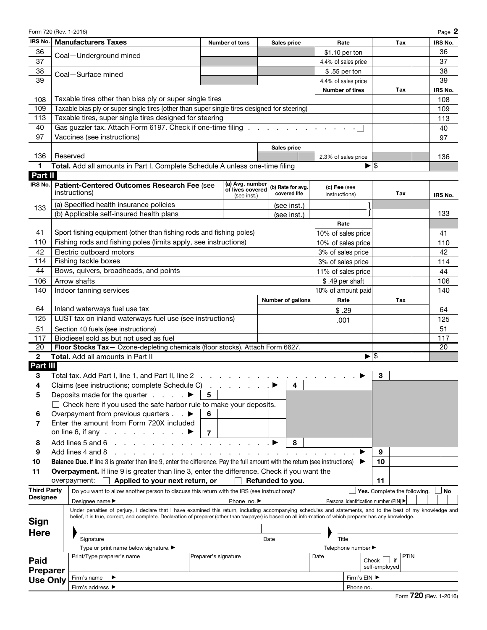| Form 720 (Rev. 1-2016) |                                                                                                                                                              |                      |                                     |      |                          |                    |                                        |                          |                              |         | Page 2  |
|------------------------|--------------------------------------------------------------------------------------------------------------------------------------------------------------|----------------------|-------------------------------------|------|--------------------------|--------------------|----------------------------------------|--------------------------|------------------------------|---------|---------|
| IRS No.                | <b>Manufacturers Taxes</b>                                                                                                                                   |                      | <b>Number of tons</b>               |      | Sales price              |                    | Rate                                   |                          | Tax                          |         | IRS No. |
| 36                     | Coal-Underground mined                                                                                                                                       |                      |                                     |      |                          |                    | \$1.10 per ton                         |                          |                              | 36      |         |
| 37                     |                                                                                                                                                              |                      |                                     |      |                          |                    | 4.4% of sales price                    |                          |                              | 37      |         |
| 38                     | Coal-Surface mined                                                                                                                                           |                      |                                     |      |                          |                    | \$.55 per ton                          |                          |                              | 38      |         |
| 39                     |                                                                                                                                                              |                      |                                     |      |                          |                    | 4.4% of sales price                    |                          |                              | 39      |         |
|                        |                                                                                                                                                              |                      |                                     |      |                          |                    | <b>Number of tires</b>                 |                          | Tax                          | IRS No. |         |
| 108                    | Taxable tires other than bias ply or super single tires                                                                                                      |                      |                                     |      |                          |                    |                                        |                          |                              | 108     |         |
| 109                    | Taxable bias ply or super single tires (other than super single tires designed for steering)                                                                 |                      |                                     |      |                          |                    |                                        |                          |                              | 109     |         |
| 113                    | Taxable tires, super single tires designed for steering                                                                                                      |                      |                                     |      |                          |                    |                                        |                          |                              | 113     |         |
| 40                     | Gas guzzler tax. Attach Form 6197. Check if one-time filing                                                                                                  |                      |                                     |      |                          |                    |                                        |                          |                              | 40      |         |
| 97                     | Vaccines (see instructions)                                                                                                                                  |                      |                                     |      |                          |                    |                                        |                          |                              | 97      |         |
|                        |                                                                                                                                                              |                      |                                     |      | Sales price              |                    |                                        |                          |                              |         |         |
| 136                    | Reserved                                                                                                                                                     |                      |                                     |      |                          |                    | 2.3% of sales price                    |                          |                              | 136     |         |
| 1                      | Total. Add all amounts in Part I. Complete Schedule A unless one-time filing                                                                                 |                      |                                     |      |                          |                    |                                        | $\blacktriangleright$ \$ |                              |         |         |
| Part II                |                                                                                                                                                              |                      |                                     |      |                          |                    |                                        |                          |                              |         |         |
| IRS No.                | Patient-Centered Outcomes Research Fee (see                                                                                                                  |                      | (a) Avg. number<br>of lives covered |      | (b) Rate for avg.        | (c) Fee (see       |                                        |                          |                              |         |         |
|                        | instructions)                                                                                                                                                |                      | (see inst.)                         |      | covered life             | instructions)      |                                        |                          | Tax                          | IRS No. |         |
| 133                    | (a) Specified health insurance policies                                                                                                                      |                      |                                     |      | (see inst.)              |                    |                                        |                          |                              |         |         |
|                        | (b) Applicable self-insured health plans                                                                                                                     |                      |                                     |      | (see inst.)              |                    |                                        |                          |                              | 133     |         |
|                        |                                                                                                                                                              |                      |                                     |      |                          |                    | Rate                                   |                          |                              |         |         |
| 41                     | Sport fishing equipment (other than fishing rods and fishing poles)                                                                                          |                      |                                     |      |                          |                    | 10% of sales price                     |                          |                              | 41      |         |
| 110                    | Fishing rods and fishing poles (limits apply, see instructions)                                                                                              |                      |                                     |      |                          |                    | 10% of sales price                     |                          |                              | 110     |         |
| 42                     | Electric outboard motors                                                                                                                                     |                      |                                     |      |                          |                    | 3% of sales price                      |                          |                              | 42      |         |
| 114                    | Fishing tackle boxes                                                                                                                                         |                      |                                     |      |                          |                    | 3% of sales price                      |                          |                              | 114     |         |
| 44                     | Bows, quivers, broadheads, and points                                                                                                                        |                      |                                     |      |                          |                    | 11% of sales price                     |                          |                              | 44      |         |
| 106                    | Arrow shafts                                                                                                                                                 |                      |                                     |      |                          |                    | \$.49 per shaft                        |                          |                              | 106     |         |
| 140                    | Indoor tanning services                                                                                                                                      |                      |                                     |      |                          | 10% of amount paid |                                        |                          |                              | 140     |         |
|                        |                                                                                                                                                              |                      |                                     |      | <b>Number of gallons</b> |                    | Rate                                   |                          | Tax                          |         |         |
| 64                     | Inland waterways fuel use tax                                                                                                                                |                      |                                     |      |                          |                    | \$.29                                  |                          |                              | 64      |         |
| 125                    | LUST tax on inland waterways fuel use (see instructions)                                                                                                     |                      |                                     |      |                          |                    | .001                                   |                          |                              | 125     |         |
| 51                     | Section 40 fuels (see instructions)                                                                                                                          |                      |                                     |      |                          |                    |                                        |                          |                              | 51      |         |
| 117                    | Biodiesel sold as but not used as fuel                                                                                                                       |                      |                                     |      |                          |                    |                                        |                          |                              | 117     |         |
| 20                     | Floor Stocks Tax- Ozone-depleting chemicals (floor stocks). Attach Form 6627.                                                                                |                      |                                     |      |                          |                    |                                        |                          |                              | 20      |         |
| $\overline{2}$         | Total. Add all amounts in Part II                                                                                                                            |                      |                                     |      |                          |                    |                                        | ∣\$                      |                              |         |         |
| Part III               |                                                                                                                                                              |                      |                                     |      |                          |                    |                                        |                          |                              |         |         |
| 3                      | Total tax. Add Part I, line 1, and Part II, line 2                                                                                                           |                      |                                     |      |                          |                    |                                        | 3                        |                              |         |         |
| 4                      | Claims (see instructions; complete Schedule C)                                                                                                               |                      |                                     |      | $\overline{\mathbf{4}}$  |                    |                                        |                          |                              |         |         |
| 5                      | Deposits made for the quarter $\ldots$ .                                                                                                                     | 5                    |                                     |      |                          |                    |                                        |                          |                              |         |         |
|                        | $\Box$ Check here if you used the safe harbor rule to make your deposits.                                                                                    |                      |                                     |      |                          |                    |                                        |                          |                              |         |         |
| 6                      | Overpayment from previous quarters $\ldots$                                                                                                                  | 6                    |                                     |      |                          |                    |                                        |                          |                              |         |         |
| 7                      | Enter the amount from Form 720X included                                                                                                                     |                      |                                     |      |                          |                    |                                        |                          |                              |         |         |
|                        | on line 6, if any $\ldots$ , $\ldots$ , $\ldots$                                                                                                             | 7                    |                                     |      |                          |                    |                                        |                          |                              |         |         |
| 8                      | Add lines 5 and 6                                                                                                                                            |                      |                                     |      | 8                        |                    |                                        |                          |                              |         |         |
| 9                      | Add lines 4 and 8                                                                                                                                            |                      |                                     |      |                          |                    |                                        | 9                        |                              |         |         |
| 10                     | Balance Due. If line 3 is greater than line 9, enter the difference. Pay the full amount with the return (see instructions)                                  |                      |                                     |      |                          |                    |                                        | 10                       |                              |         |         |
| 11                     | <b>Overpayment.</b> If line 9 is greater than line 3, enter the difference. Check if you want the                                                            |                      |                                     |      |                          |                    |                                        |                          |                              |         |         |
|                        | overpayment:<br>Applied to your next return, or                                                                                                              |                      |                                     |      | Refunded to you.         |                    |                                        | 11                       |                              |         |         |
| Third Party            | Do you want to allow another person to discuss this return with the IRS (see instructions)?                                                                  |                      |                                     |      |                          |                    |                                        |                          | Yes. Complete the following. |         | No      |
| Designee               | Designee name ▶                                                                                                                                              |                      | Phone no. ▶                         |      |                          |                    | Personal identification number (PIN) ▶ |                          |                              |         |         |
|                        | Under penalties of perjury, I declare that I have examined this return, including accompanying schedules and statements, and to the best of my knowledge and |                      |                                     |      |                          |                    |                                        |                          |                              |         |         |
| <b>Sign</b>            | belief, it is true, correct, and complete. Declaration of preparer (other than taxpayer) is based on all information of which preparer has any knowledge.    |                      |                                     |      |                          |                    |                                        |                          |                              |         |         |
| <b>Here</b>            |                                                                                                                                                              |                      |                                     |      |                          |                    |                                        |                          |                              |         |         |
|                        | Signature                                                                                                                                                    |                      |                                     | Date |                          | Title              |                                        |                          |                              |         |         |
|                        | Type or print name below signature. ▶                                                                                                                        |                      |                                     |      |                          |                    | Telephone number ▶                     |                          |                              |         |         |
| Paid                   | Print/Type preparer's name                                                                                                                                   | Preparer's signature |                                     |      |                          | Date               |                                        | Check                    | <b>PTIN</b><br>if            |         |         |
| <b>Preparer</b>        |                                                                                                                                                              |                      |                                     |      |                          |                    |                                        | self-employed            |                              |         |         |
| <b>Use Only</b>        | Firm's name                                                                                                                                                  |                      |                                     |      |                          |                    | Firm's EIN ▶                           |                          |                              |         |         |
|                        | Firm's address ▶                                                                                                                                             |                      |                                     |      |                          |                    | Phone no.                              |                          |                              |         |         |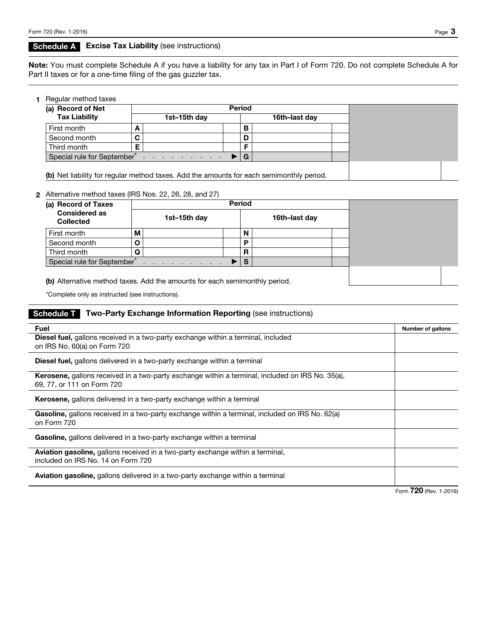### **Schedule A** Excise Tax Liability (see instructions)

Note: You must complete Schedule A if you have a liability for any tax in Part I of Form 720. Do not complete Schedule A for Part II taxes or for a one-time filing of the gas guzzler tax.

|  | 1 Regular method taxes |  |  |
|--|------------------------|--|--|
|--|------------------------|--|--|

| (a) Record of Net           | <b>Period</b>                       |   |               |  |  |
|-----------------------------|-------------------------------------|---|---------------|--|--|
| <b>Tax Liability</b>        | 1st-15th day                        |   | 16th-last day |  |  |
| First month                 |                                     | в |               |  |  |
| Second month                |                                     | D |               |  |  |
| Third month                 |                                     |   |               |  |  |
| Special rule for September* | the contract of the contract of the | G |               |  |  |

### 2 Alternative method taxes (IRS Nos. 22, 26, 28, and 27)

| (a) Record of Taxes                      |   |              | <b>Period</b> |               |  |  |
|------------------------------------------|---|--------------|---------------|---------------|--|--|
| <b>Considered as</b><br><b>Collected</b> |   | 1st-15th day |               | 16th-last day |  |  |
| First month                              | М |              | N             |               |  |  |
| Second month                             | O |              | P             |               |  |  |
| Third month                              | O |              | R             |               |  |  |
| Special rule for September <sup>®</sup>  |   |              | <b>S</b>      |               |  |  |

(b) Alternative method taxes. Add the amounts for each semimonthly period.

\*Complete only as instructed (see instructions).

## Schedule T Two-Party Exchange Information Reporting (see instructions)

| Fuel                                                                                                                        | Number of gallons      |
|-----------------------------------------------------------------------------------------------------------------------------|------------------------|
| <b>Diesel fuel,</b> gallons received in a two-party exchange within a terminal, included                                    |                        |
| on IRS No. 60(a) on Form 720                                                                                                |                        |
| <b>Diesel fuel,</b> gallons delivered in a two-party exchange within a terminal                                             |                        |
| <b>Kerosene,</b> gallons received in a two-party exchange within a terminal, included on IRS No. 35(a),                     |                        |
| 69, 77, or 111 on Form 720                                                                                                  |                        |
| Kerosene, gallons delivered in a two-party exchange within a terminal                                                       |                        |
| <b>Gasoline,</b> gallons received in a two-party exchange within a terminal, included on IRS No. 62(a)<br>on Form 720       |                        |
| Gasoline, gallons delivered in a two-party exchange within a terminal                                                       |                        |
| <b>Aviation gasoline,</b> gallons received in a two-party exchange within a terminal,<br>included on IRS No. 14 on Form 720 |                        |
| <b>Aviation gasoline, gallons delivered in a two-party exchange within a terminal</b>                                       |                        |
|                                                                                                                             | Form 720 (Rev. 1-2016) |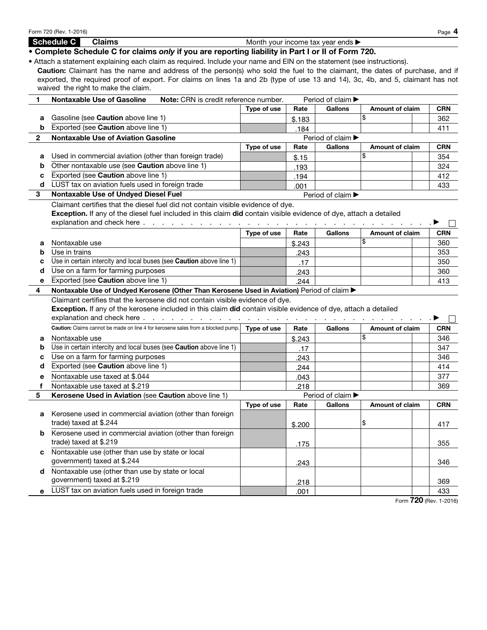Schedule C Claims **C Claims** Month your income tax year ends  $\blacktriangleright$ • Complete Schedule C for claims *only* if you are reporting liability in Part I or II of Form 720. • Attach a statement explaining each claim as required. Include your name and EIN on the statement (see instructions). Caution: Claimant has the name and address of the person(s) who sold the fuel to the claimant, the dates of purchase, and if exported, the required proof of export. For claims on lines 1a and 2b (type of use 13 and 14), 3c, 4b, and 5, claimant has not waived the right to make the claim. 1 Nontaxable Use of Gasoline Note: CRN is credit reference number. Period of claim Type of use | Rate | Gallons | Amount of claim | CRN a Gasoline (see Caution above line 1) \$ 362 \$.183 **b** Exported (see **Caution** above line 1) 411 .184 2 Nontaxable Use of Aviation Gasoline **Period of claim Aviation** Period of claim A Type of use  $\parallel$  Rate  $\parallel$  Gallons  $\parallel$  Amount of claim  $\parallel$  CRN a Used in commercial aviation (other than foreign trade) <br> **a**  $\frac{1}{3.15}$  <br>
<sup>354</sup> \$.15 **b** Other nontaxable use (see **Caution** above line 1) 324 .193 c Exported (see Caution above line 1) 412 .194 d LUST tax on aviation fuels used in foreign trade  $0.01$  and  $0.01$  and  $433$ .001 3 Nontaxable Use of Undyed Diesel Fuel Period of claim  $\blacktriangleright$  Period of claim  $\blacktriangleright$ Claimant certifies that the diesel fuel did not contain visible evidence of dye. Exception. If any of the diesel fuel included in this claim did contain visible evidence of dye, attach a detailed explanation and check here . . . . . . . . . . . . . . . . . . . . . . . . . . . . . . . a Type of use  $\parallel$  Rate  $\parallel$  Gallons  $\parallel$  Amount of claim  $\parallel$  CRN **a** Nontaxable use  $\begin{array}{ccc} 360 \\ -360 \end{array}$ \$.243 **b** Use in trains 243 | 353 .243 c Use in certain intercity and local buses (see Caution above line 1) 350 .17 d Use on a farm for farming purposes 360 and 243 .243 e Exported (see Caution above line 1) 413 .244 4 Nontaxable Use of Undyed Kerosene (Other Than Kerosene Used in Aviation) Period of claim  $\blacktriangleright$ Claimant certifies that the kerosene did not contain visible evidence of dye. Exception. If any of the kerosene included in this claim did contain visible evidence of dye, attach a detailed explanation and check here . . . . . . . . . . . . . . . . . . . . . . . . . . . . . . . a  $\Box$ Caution: Claims cannot be made on line 4 for kerosene sales from a blocked pump. Type of use Rate Gallons Amount of claim CRN a Nontaxable use \$ 346 \$.243 **b** Use in certain intercity and local buses (see Caution above line 1) 347 .17 c Use on a farm for farming purposes 346 .243 d Exported (see Caution above line 1) 414 .244 e Nontaxable use taxed at \$.044 377 .043 f Nontaxable use taxed at \$.219 369 .218 5 **Kerosene Used in Aviation** (see **Caution** above line 1) Period of claim ▶ Type of use  $\parallel$  Rate  $\parallel$  Gallons  $\parallel$  Amount of claim  $\parallel$  CRN a Kerosene used in commercial aviation (other than foreign trade) taxed at \$.244  $\begin{vmatrix} 1 & 0 & 0 \\ 0 & 0 & 0 \\ 0 & 0 & 0 \end{vmatrix}$   $\begin{vmatrix} 1 & 0 & 0 \\ 0 & 1 & 0 \\ 0 & 0 & 0 \end{vmatrix}$   $\begin{vmatrix} 1 & 0 & 0 \\ 0 & 1 & 0 \\ 0 & 0 & 0 \end{vmatrix}$   $\begin{vmatrix} 1 & 0 & 0 \\ 0 & 1 & 0 \\ 0 & 0 & 0 \end{vmatrix}$ \$.200 **b** Kerosene used in commercial aviation (other than foreign trade) taxed at \$.219 355 .175 c Nontaxable use (other than use by state or local government) taxed at \$.244 346 .243 d Nontaxable use (other than use by state or local government) taxed at \$.219  $\vert$   $\rangle$  369 .218 e LUST tax on aviation fuels used in foreign trade  $.001$   $.001$   $.433$ .001

Form 720 (Rev. 1-2016) Page 4

Form 720 (Rev. 1-2016)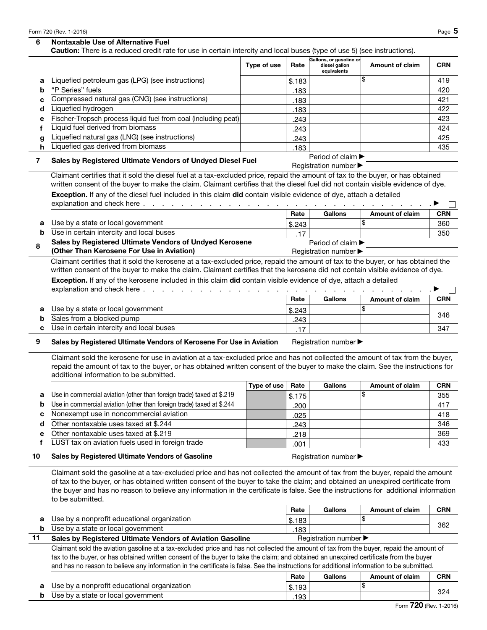## 6 Nontaxable Use of Alternative Fuel

Caution: There is a reduced credit rate for use in certain intercity and local buses (type of use 5) (see instructions).

|        | $\alpha$ is a readered eredit rate for doo in contain interesty and local based (type or doo $\sigma$ ) (eco included) log                                                                                                                                          |             |                |                                                         |                        |            |
|--------|---------------------------------------------------------------------------------------------------------------------------------------------------------------------------------------------------------------------------------------------------------------------|-------------|----------------|---------------------------------------------------------|------------------------|------------|
|        |                                                                                                                                                                                                                                                                     | Type of use | Rate           | Gallons, or gasoline or<br>diesel gallon<br>equivalents | Amount of claim        | <b>CRN</b> |
| а      | Liquefied petroleum gas (LPG) (see instructions)                                                                                                                                                                                                                    |             | \$.183         |                                                         | Ι\$                    | 419        |
| b      | "P Series" fuels                                                                                                                                                                                                                                                    |             | .183           |                                                         |                        | 420        |
| c      | Compressed natural gas (CNG) (see instructions)                                                                                                                                                                                                                     |             | .183           |                                                         |                        | 421        |
| d      | Liquefied hydrogen                                                                                                                                                                                                                                                  |             | .183           |                                                         |                        | 422        |
| е      | Fischer-Tropsch process liquid fuel from coal (including peat)                                                                                                                                                                                                      |             | .243           |                                                         |                        | 423        |
| f      | Liquid fuel derived from biomass                                                                                                                                                                                                                                    |             | .243           |                                                         |                        | 424        |
| g      | Liquefied natural gas (LNG) (see instructions)                                                                                                                                                                                                                      |             | .243           |                                                         |                        | 425        |
| h      | Liquefied gas derived from biomass                                                                                                                                                                                                                                  |             | .183           |                                                         |                        | 435        |
| 7      | Sales by Registered Ultimate Vendors of Undyed Diesel Fuel                                                                                                                                                                                                          |             |                | Period of claim ▶                                       |                        |            |
|        |                                                                                                                                                                                                                                                                     |             |                | Registration number ▶                                   |                        |            |
|        | Claimant certifies that it sold the diesel fuel at a tax-excluded price, repaid the amount of tax to the buyer, or has obtained<br>written consent of the buyer to make the claim. Claimant certifies that the diesel fuel did not contain visible evidence of dye. |             |                |                                                         |                        |            |
|        | Exception. If any of the diesel fuel included in this claim did contain visible evidence of dye, attach a detailed                                                                                                                                                  |             |                |                                                         |                        |            |
|        | explanation and check here                                                                                                                                                                                                                                          |             |                |                                                         |                        |            |
|        |                                                                                                                                                                                                                                                                     |             | Rate           | <b>Gallons</b>                                          | <b>Amount of claim</b> | <b>CRN</b> |
| a      | Use by a state or local government                                                                                                                                                                                                                                  |             |                |                                                         | \$                     | 360        |
| b      | Use in certain intercity and local buses                                                                                                                                                                                                                            |             | \$.243         |                                                         |                        | 350        |
|        | Sales by Registered Ultimate Vendors of Undyed Kerosene                                                                                                                                                                                                             |             | .17            | Period of claim $\blacktriangleright$                   |                        |            |
| 8      | (Other Than Kerosene For Use in Aviation)                                                                                                                                                                                                                           |             |                | Registration number ▶                                   |                        |            |
|        | Claimant certifies that it sold the kerosene at a tax-excluded price, repaid the amount of tax to the buyer, or has obtained the                                                                                                                                    |             |                |                                                         |                        |            |
|        | written consent of the buyer to make the claim. Claimant certifies that the kerosene did not contain visible evidence of dye.                                                                                                                                       |             |                |                                                         |                        |            |
|        | Exception. If any of the kerosene included in this claim did contain visible evidence of dye, attach a detailed                                                                                                                                                     |             |                |                                                         |                        |            |
|        | explanation and check here                                                                                                                                                                                                                                          |             |                |                                                         |                        |            |
|        |                                                                                                                                                                                                                                                                     |             | Rate           | <b>Gallons</b>                                          | <b>Amount of claim</b> | <b>CRN</b> |
|        |                                                                                                                                                                                                                                                                     |             |                |                                                         | \$                     |            |
| а      | Use by a state or local government<br>Sales from a blocked pump                                                                                                                                                                                                     |             | \$.243         |                                                         |                        | 346        |
| b<br>C |                                                                                                                                                                                                                                                                     |             | .243           |                                                         |                        |            |
|        |                                                                                                                                                                                                                                                                     |             |                |                                                         |                        |            |
|        | Use in certain intercity and local buses                                                                                                                                                                                                                            |             | .17            |                                                         |                        | 347        |
| 9      | Sales by Registered Ultimate Vendors of Kerosene For Use in Aviation                                                                                                                                                                                                |             |                | Registration number ▶                                   |                        |            |
|        |                                                                                                                                                                                                                                                                     |             |                |                                                         |                        |            |
|        | Claimant sold the kerosene for use in aviation at a tax-excluded price and has not collected the amount of tax from the buyer,                                                                                                                                      |             |                |                                                         |                        |            |
|        | repaid the amount of tax to the buyer, or has obtained written consent of the buyer to make the claim. See the instructions for                                                                                                                                     |             |                |                                                         |                        |            |
|        | additional information to be submitted.                                                                                                                                                                                                                             |             |                |                                                         |                        |            |
|        |                                                                                                                                                                                                                                                                     | Type of use | Rate           | Gallons                                                 | <b>Amount of claim</b> | <b>CRN</b> |
| а      | Use in commercial aviation (other than foreign trade) taxed at \$.219                                                                                                                                                                                               |             | \$.175         |                                                         | Ι\$                    | 355        |
| b      | Use in commercial aviation (other than foreign trade) taxed at \$.244                                                                                                                                                                                               |             | .200           |                                                         |                        | 417        |
| с      | Nonexempt use in noncommercial aviation                                                                                                                                                                                                                             |             | .025           |                                                         |                        | 418        |
| d      | Other nontaxable uses taxed at \$.244                                                                                                                                                                                                                               |             | .243           |                                                         |                        | 346        |
| е      | Other nontaxable uses taxed at \$.219                                                                                                                                                                                                                               |             | .218           |                                                         |                        | 369        |
| f      | LUST tax on aviation fuels used in foreign trade                                                                                                                                                                                                                    |             | .001           |                                                         |                        | 433        |
| 10     | Sales by Registered Ultimate Vendors of Gasoline                                                                                                                                                                                                                    |             |                | Registration number ▶                                   |                        |            |
|        |                                                                                                                                                                                                                                                                     |             |                |                                                         |                        |            |
|        | Claimant sold the gasoline at a tax-excluded price and has not collected the amount of tax from the buyer, repaid the amount                                                                                                                                        |             |                |                                                         |                        |            |
|        | of tax to the buyer, or has obtained written consent of the buyer to take the claim; and obtained an unexpired certificate from                                                                                                                                     |             |                |                                                         |                        |            |
|        | the buyer and has no reason to believe any information in the certificate is false. See the instructions for additional information                                                                                                                                 |             |                |                                                         |                        |            |
|        | to be submitted.                                                                                                                                                                                                                                                    |             |                |                                                         |                        |            |
|        |                                                                                                                                                                                                                                                                     |             | Rate           | <b>Gallons</b>                                          | Amount of claim        | <b>CRN</b> |
| а      | Use by a nonprofit educational organization                                                                                                                                                                                                                         |             | \$.183         |                                                         | \$                     | 362        |
| b      | Use by a state or local government                                                                                                                                                                                                                                  |             | .183           |                                                         |                        |            |
| 11     | Sales by Registered Ultimate Vendors of Aviation Gasoline                                                                                                                                                                                                           |             |                | Registration number ▶                                   |                        |            |
|        | Claimant sold the aviation gasoline at a tax-excluded price and has not collected the amount of tax from the buyer, repaid the amount of                                                                                                                            |             |                |                                                         |                        |            |
|        | tax to the buyer, or has obtained written consent of the buyer to take the claim; and obtained an unexpired certificate from the buyer                                                                                                                              |             |                |                                                         |                        |            |
|        | and has no reason to believe any information in the certificate is false. See the instructions for additional information to be submitted.                                                                                                                          |             |                |                                                         |                        |            |
|        |                                                                                                                                                                                                                                                                     |             | Rate           | Gallons                                                 | <b>Amount of claim</b> | <b>CRN</b> |
| а<br>b | Use by a nonprofit educational organization<br>Use by a state or local government                                                                                                                                                                                   |             | \$.193<br>.193 |                                                         | Ι\$                    | 324        |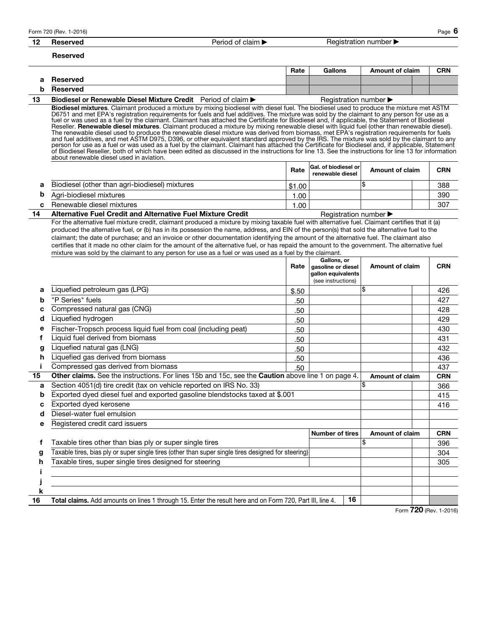12 Reserved **Period of claim A Registration number A** Registration number A Registration number

#### Reserved

|                 | Rate | Gallons | Amount of claim | <b>CRN</b> |
|-----------------|------|---------|-----------------|------------|
| Reserved        |      |         |                 |            |
| <b>Reserved</b> |      |         |                 |            |

13 Biodiesel or Renewable Diesel Mixture Credit Period of claim **Decree Accepts** Registration number D Biodiesel mixtures. Claimant produced a mixture by mixing biodiesel with diesel fuel. The biodiesel used to produce the mixture met ASTM D6751 and met EPA's registration requirements for fuels and fuel additives. The mixture was sold by the claimant to any person for use as a<br>fuel or was used as a fuel by the claimant. Claimant has attached the Certificate Reseller. **Renewable diesel mixtures**. Claimant produced a mixture by mixing renewable diesel with liquid fuel (other than renewable diesel).<br>The renewable diesel used to produce the renewable diesel mixture was derived fr and fuel additives, and met ASTM D975, D396, or other equivalent standard approved by the IRS. The mixture was sold by the claimant to any<br>person for use as a fuel or was used as a fuel by the claimant. Claimant has attach of Biodiesel Reseller, both of which have been edited as discussed in the instructions for line 13. See the instructions for line 13 for information about renewable diesel used in aviation.

|                                                | Rate   | Gal. of biodiesel or<br>renewable diesel | <b>Amount of claim</b> | <b>CRN</b> |
|------------------------------------------------|--------|------------------------------------------|------------------------|------------|
| Biodiesel (other than agri-biodiesel) mixtures | \$1.00 |                                          |                        | 388        |
| Agri-biodiesel mixtures                        | .00    |                                          |                        | 390        |
| Renewable diesel mixtures                      | .00    |                                          |                        | 307        |
|                                                |        |                                          |                        |            |

14 Alternative Fuel Credit and Alternative Fuel Mixture Credit Registration number

For the alternative fuel mixture credit, claimant produced a mixture by mixing taxable fuel with alternative fuel. Claimant certifies that it (a) produced the alternative fuel, or (b) has in its possession the name, address, and EIN of the person(s) that sold the alternative fuel to the claimant; the date of purchase; and an invoice or other documentation identifying the amount of the alternative fuel. The claimant also certifies that it made no other claim for the amount of the alternative fuel, or has repaid the amount to the government. The alternative fuel mixture was sold by the claimant to any person for use as a fuel or was used as a fuel by the claimant.

|    |                                                                                                           | Rate  | Gallons, or<br>gasoline or diesel<br>gallon equivalents<br>(see instructions) | <b>Amount of claim</b> | CRN        |
|----|-----------------------------------------------------------------------------------------------------------|-------|-------------------------------------------------------------------------------|------------------------|------------|
| a  | Liquefied petroleum gas (LPG)                                                                             | \$.50 |                                                                               | \$                     | 426        |
| b  | "P Series" fuels                                                                                          | .50   |                                                                               |                        | 427        |
| с  | Compressed natural gas (CNG)                                                                              | .50   |                                                                               |                        | 428        |
| d  | Liquefied hydrogen                                                                                        | .50   |                                                                               |                        | 429        |
| е  | Fischer-Tropsch process liquid fuel from coal (including peat)                                            | .50   |                                                                               |                        | 430        |
|    | Liquid fuel derived from biomass                                                                          | .50   |                                                                               |                        | 431        |
| g  | Liquefied natural gas (LNG)                                                                               | .50   |                                                                               |                        | 432        |
| h  | Liquefied gas derived from biomass                                                                        | .50   |                                                                               |                        | 436        |
|    | Compressed gas derived from biomass                                                                       |       | 437                                                                           |                        |            |
| 15 | Other claims. See the instructions. For lines 15b and 15c, see the Caution above line 1 on page 4.        |       | <b>Amount of claim</b>                                                        | <b>CRN</b>             |            |
| a  | Section 4051(d) tire credit (tax on vehicle reported on IRS No. 33)                                       |       |                                                                               | \$                     | 366        |
| b  | Exported dyed diesel fuel and exported gasoline blendstocks taxed at \$.001                               |       |                                                                               |                        | 415        |
| c  | Exported dyed kerosene                                                                                    |       |                                                                               |                        | 416        |
| d  | Diesel-water fuel emulsion                                                                                |       |                                                                               |                        |            |
| е  | Registered credit card issuers                                                                            |       |                                                                               |                        |            |
|    |                                                                                                           |       | <b>Number of tires</b>                                                        | <b>Amount of claim</b> | <b>CRN</b> |
|    | Taxable tires other than bias ply or super single tires                                                   |       |                                                                               | \$                     | 396        |
| g  | Taxable tires, bias ply or super single tires (other than super single tires designed for steering)       |       |                                                                               |                        | 304        |
| n  | Taxable tires, super single tires designed for steering                                                   |       |                                                                               |                        | 305        |
|    |                                                                                                           |       |                                                                               |                        |            |
|    |                                                                                                           |       |                                                                               |                        |            |
| k  |                                                                                                           |       |                                                                               |                        |            |
| 16 | Total claims. Add amounts on lines 1 through 15. Enter the result here and on Form 720, Part III, line 4. |       | 16                                                                            | <b>300</b>             |            |

Form 720 (Rev. 1-2016)